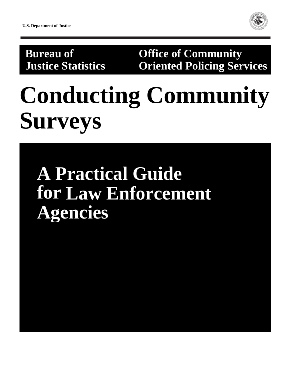

**Bureau of Community Justice Statistics Oriented Policing Services**

# **Conducting Community Surveys**

# **A Practical Guide for Law Enforcement Agencies**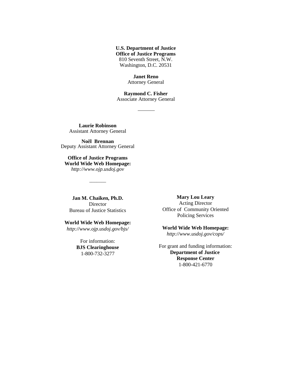**U.S. Department of Justice Office of Justice Programs** 810 Seventh Street, N.W. Washington, D.C. 20531

> **Janet Reno** Attorney General

**Raymond C. Fisher** Associate Attorney General

**Laurie Robinson** Assistant Attorney General

**Noël Brennan** Deputy Assistant Attorney General

**Office of Justice Programs World Wide Web Homepage:** *http://www.ojp.usdoj.gov*

 $\overline{\phantom{a}}$ 

**Jan M. Chaiken, Ph.D.** Director Bureau of Justice Statistics

**World Wide Web Homepage:**

*http://www.ojp.usdoj.gov/bjs/*

For information: **BJS Clearinghouse** 1-800-732-3277

**Mary Lou Leary** Acting Director Office of Community Oriented Policing Services

**World Wide Web Homepage:** *http://www.usdoj.gov/cops/*

For grant and funding information: **Department of Justice Response Center** 1-800-421-6770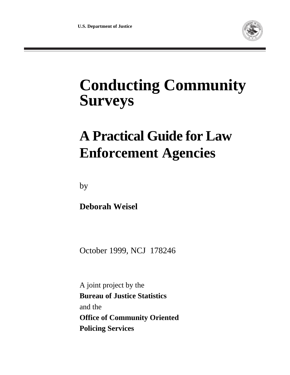

## **Conducting Community Surveys**

## **A Practical Guide for Law Enforcement Agencies**

by

**Deborah Weisel**

October 1999, NCJ 178246

A joint project by the **Bureau of Justice Statistics** and the **Office of Community Oriented Policing Services**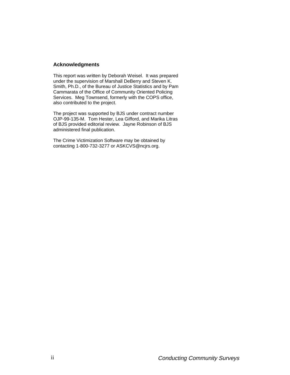#### **Acknowledgments**

This report was written by Deborah Weisel. It was prepared under the supervision of Marshall DeBerry and Steven K. Smith, Ph.D., of the Bureau of Justice Statistics and by Pam Cammarata of the Office of Community Oriented Policing Services. Meg Townsend, formerly with the COPS office, also contributed to the project.

The project was supported by BJS under contract number OJP-99-135-M. Tom Hester, Lea Gifford, and Marika Litras of BJS provided editorial review. Jayne Robinson of BJS administered final publication.

The Crime Victimization Software may be obtained by contacting 1-800-732-3277 or ASKCVS@ncjrs.org.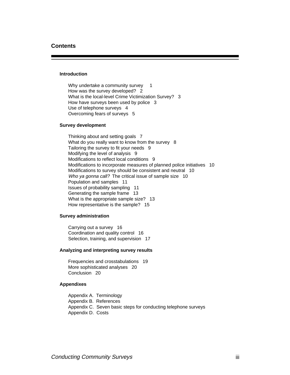#### **Contents**

#### **Introduction**

Why undertake a community survey 1 How was the survey developed? 2 What is the local-level Crime Victimization Survey? 3 How have surveys been used by police 3 Use of telephone surveys 4 Overcoming fears of surveys 5

#### **Survey development**

Thinking about and setting goals 7 What do you really want to know from the survey 8 Tailoring the survey to fit your needs 9 Modifying the level of analysis 9 Modifications to reflect local conditions 9 Modifications to incorporate measures of planned police initiatives 10 Modifications to survey should be consistent and neutral 10 Who ya gonna call? The critical issue of sample size 10 Population and samples 11 Issues of probability sampling 11 Generating the sample frame 13 What is the appropriate sample size? 13 How representative is the sample? 15

#### **Survey administration**

Carrying out a survey 16 Coordination and quality control 16 Selection, training, and supervision 17

#### **Analyzing and interpreting survey results**

Frequencies and crosstabulations 19 More sophisticated analyses 20 Conclusion 20

#### **Appendixes**

Appendix A. Terminology Appendix B. References Appendix C. Seven basic steps for conducting telephone surveys Appendix D. Costs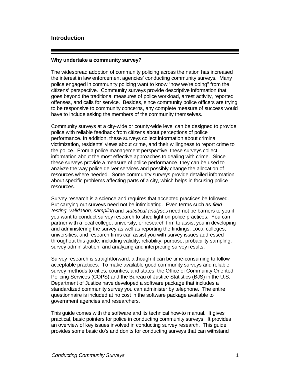#### **Introduction**

#### **Why undertake a community survey?**

The widespread adoption of community policing across the nation has increased the interest in law enforcement agencies' conducting community surveys. Many police engaged in community policing want to know "how we're doing" from the citizens' perspective. Community surveys provide descriptive information that goes beyond the traditional measures of police workload, arrest activity, reported offenses, and calls for service. Besides, since community police officers are trying to be responsive to community concerns, any complete measure of success would have to include asking the members of the community themselves.

Community surveys at a city-wide or county-wide level can be designed to provide police with reliable feedback from citizens about perceptions of police performance. In addition, these surveys collect information about criminal victimization, residents' views about crime, and their willingness to report crime to the police. From a police management perspective, these surveys collect information about the most effective approaches to dealing with crime. Since these surveys provide a measure of police performance, they can be used to analyze the way police deliver services and possibly change the allocation of resources where needed. Some community surveys provide detailed information about specific problems affecting parts of a city, which helps in focusing police resources.

Survey research is a science and requires that accepted practices be followed. But carrying out surveys need not be intimidating. Even terms such as *field* testing, validation, sampling and statistical analyses need not be barriers to you if you want to conduct survey research to shed light on police practices. You can partner with a local college, university, or research firm to assist you in developing and administering the survey as well as reporting the findings. Local colleges, universities, and research firms can assist you with survey issues addressed throughout this guide, including validity, reliability, purpose, probability sampling, survey administration, and analyzing and interpreting survey results.

Survey research is straightforward, although it can be time-consuming to follow acceptable practices. To make available good community surveys and reliable survey methods to cities, counties, and states, the Office of Community Oriented Policing Services (COPS) and the Bureau of Justice Statistics (BJS) in the U.S. Department of Justice have developed a software package that includes a standardized community survey you can administer by telephone. The entire questionnaire is included at no cost in the software package available to government agencies and researchers.

This guide comes with the software and its technical how-to manual. It gives practical, basic pointers for police in conducting community surveys. It provides an overview of key issues involved in conducting survey research. This guide provides some basic do's and don'ts for conducting surveys that can withstand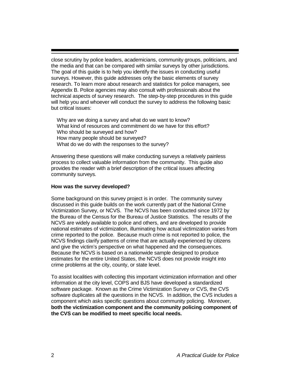close scrutiny by police leaders, academicians, community groups, politicians, and the media and that can be compared with similar surveys by other jurisdictions. The goal of this guide is to help you identify the issues in conducting useful surveys. However, this guide addresses only the basic elements of survey research. To learn more about research and statistics for police managers, see Appendix B. Police agencies may also consult with professionals about the technical aspects of survey research. The step-by-step procedures in this guide will help you and whoever will conduct the survey to address the following basic but critical issues:

Why are we doing a survey and what do we want to know? What kind of resources and commitment do we have for this effort? Who should be surveyed and how? How many people should be surveyed? What do we do with the responses to the survey?

Answering these questions will make conducting surveys a relatively painless process to collect valuable information from the community. This guide also provides the reader with a brief description of the critical issues affecting community surveys.

#### **How was the survey developed?**

Some background on this survey project is in order. The community survey discussed in this guide builds on the work currently part of the National Crime Victimization Survey, or NCVS. The NCVS has been conducted since 1972 by the Bureau of the Census for the Bureau of Justice Statistics. The results of the NCVS are widely available to police and others, and are developed to provide national estimates of victimization, illuminating how actual victimization varies from crime reported to the police. Because much crime is not reported to police, the NCVS findings clarify patterns of crime that are actually experienced by citizens and give the victim's perspective on what happened and the consequences. Because the NCVS is based on a nationwide sample designed to produce estimates for the entire United States, the NCVS does not provide insight into crime problems at the city, county, or state level.

To assist localities with collecting this important victimization information and other information at the city level, COPS and BJS have developed a standardized software package. Known as the Crime Victimization Survey or CVS, the CVS software duplicates all the questions in the NCVS. In addition, the CVS includes a component which asks specific questions about community policing. Moreover, **both the victimization component and the community policing component of the CVS can be modified to meet specific local needs.**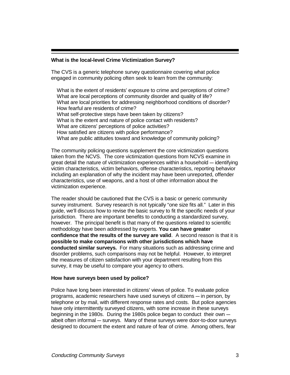#### **What is the local-level Crime Victimization Survey?**

The CVS is a generic telephone survey questionnaire covering what police engaged in community policing often seek to learn from the community:

What is the extent of residents' exposure to crime and perceptions of crime? What are local perceptions of community disorder and quality of life? What are local priorities for addressing neighborhood conditions of disorder? How fearful are residents of crime? What self-protective steps have been taken by citizens? What is the extent and nature of police contact with residents? What are citizens' perceptions of police activities? How satisfied are citizens with police performance? What are public attitudes toward and knowledge of community policing?

The community policing questions supplement the core victimization questions taken from the NCVS. The core victimization questions from NCVS examine in great detail the nature of victimization experiences within a household - identifying victim characteristics, victim behaviors, offense characteristics, reporting behavior including an explanation of why the incident may have been unreported, offender characteristics, use of weapons, and a host of other information about the victimization experience.

The reader should be cautioned that the CVS is a basic or generic community survey instrument. Survey research is not typically "one size fits all." Later in this guide, we'll discuss how to revise the basic survey to fit the specific needs of your jurisdiction. There are important benefits to conducting a standardized survey, however. The principal benefit is that many of the questions related to scientific methodology have been addressed by experts. **You can have greater confidence that the results of the survey are valid**. A second reason is that it is **possible to make comparisons with other jurisdictions which have conducted similar surveys.** For many situations such as addressing crime and disorder problems, such comparisons may not be helpful. However, to interpret the measures of citizen satisfaction with your department resulting from this survey, it may be useful to compare your agency to others.

#### **How have surveys been used by police?**

Police have long been interested in citizens' views of police. To evaluate police programs, academic researchers have used surveys of citizens — in person, by telephone or by mail, with different response rates and costs. But police agencies have only intermittently surveyed citizens, with some increase in these surveys beginning in the 1980s. During the 1980s police began to conduct their own  $$ albeit often informal - surveys. Many of these surveys were door-to-door surveys designed to document the extent and nature of fear of crime. Among others, fear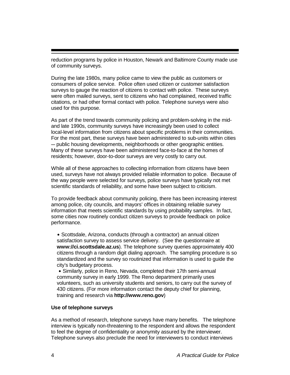reduction programs by police in Houston, Newark and Baltimore County made use of community surveys.

During the late 1980s, many police came to view the public as customers or consumers of police service. Police often used citizen or customer satisfaction surveys to gauge the reaction of citizens to contact with police. These surveys were often mailed surveys, sent to citizens who had complained, received traffic citations, or had other formal contact with police. Telephone surveys were also used for this purpose.

As part of the trend towards community policing and problem-solving in the midand late 1990s, community surveys have increasingly been used to collect local-level information from citizens about specific problems in their communities. For the most part, these surveys have been administered to sub-units within cities  $-$  public housing developments, neighborhoods or other geographic entities. Many of these surveys have been administered face-to-face at the homes of residents; however, door-to-door surveys are very costly to carry out.

While all of these approaches to collecting information from citizens have been used, surveys have not always provided reliable information to police. Because of the way people were selected for surveys, police surveys have typically not met scientific standards of reliability, and some have been subject to criticism.

To provide feedback about community policing, there has been increasing interest among police, city councils, and mayors' offices in obtaining reliable survey information that meets scientific standards by using probability samples. In fact, some cities now routinely conduct citizen surveys to provide feedback on police performance.

• Scottsdale, Arizona, conducts (through a contractor) an annual citizen satisfaction survey to assess service delivery. (See the questionnaire at **www://ci.scottsdale.az.us**). The telephone survey queries approximately 400 citizens through a random digit dialing approach. The sampling procedure is so standardized and the survey so routinized that information is used to guide the city's budgetary process.

• Similarly, police in Reno, Nevada, completed their 17th semi-annual community survey in early 1999. The Reno department primarily uses volunteers, such as university students and seniors, to carry out the survey of 430 citizens. (For more information contact the deputy chief for planning, training and research via **http://www.reno.gov**)

#### **Use of telephone surveys**

As a method of research, telephone surveys have many benefits. The telephone interview is typically non-threatening to the respondent and allows the respondent to feel the degree of confidentiality or anonymity assured by the interviewer. Telephone surveys also preclude the need for interviewers to conduct interviews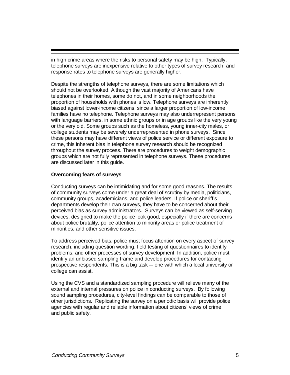in high crime areas where the risks to personal safety may be high. Typically, telephone surveys are inexpensive relative to other types of survey research, and response rates to telephone surveys are generally higher.

Despite the strengths of telephone surveys, there are some limitations which should not be overlooked. Although the vast majority of Americans have telephones in their homes, some do not, and in some neighborhoods the proportion of households with phones is low. Telephone surveys are inherently biased against lower-income citizens, since a larger proportion of low-income families have no telephone. Telephone surveys may also underrepresent persons with language barriers, in some ethnic groups or in age groups like the very young or the very old. Some groups such as the homeless, young inner-city males, or college students may be severely underrepresented in phone surveys. Since these persons may have different views of police service or different exposure to crime, this inherent bias in telephone survey research should be recognized throughout the survey process. There are procedures to weight demographic groups which are not fully represented in telephone surveys. These procedures are discussed later in this guide.

#### **Overcoming fears of surveys**

Conducting surveys can be intimidating and for some good reasons. The results of community surveys come under a great deal of scrutiny by media, politicians, community groups, academicians, and police leaders. If police or sheriff's departments develop their own surveys, they have to be concerned about their perceived bias as survey administrators. Surveys can be viewed as self-serving devices, designed to make the police look good, especially if there are concerns about police brutality, police attention to minority areas or police treatment of minorities, and other sensitive issues.

To address perceived bias, police must focus attention on every aspect of survey research, including question wording, field testing of questionnaires to identify problems, and other processes of survey development. In addition, police must identify an unbiased sampling frame and develop procedures for contacting prospective respondents. This is a big task – one with which a local university or college can assist.

Using the CVS and a standardized sampling procedure will relieve many of the external and internal pressures on police in conducting surveys. By following sound sampling procedures, city-level findings can be comparable to those of other jurisdictions. Replicating the survey on a periodic basis will provide police agencies with regular and reliable information about citizens' views of crime and public safety.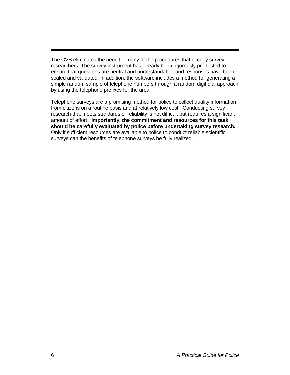The CVS eliminates the need for many of the procedures that occupy survey researchers. The survey instrument has already been rigorously pre-tested to ensure that questions are neutral and understandable, and responses have been scaled and validated. In addition, the software includes a method for generating a simple random sample of telephone numbers through a random digit dial approach by using the telephone prefixes for the area.

Telephone surveys are a promising method for police to collect quality information from citizens on a routine basis and at relatively low cost. Conducting survey research that meets standards of reliability is not difficult but requires a significant amount of effort. **Importantly, the commitment and resources for this task should be carefully evaluated by police before undertaking survey research.** Only if sufficient resources are available to police to conduct reliable scientific surveys can the benefits of telephone surveys be fully realized.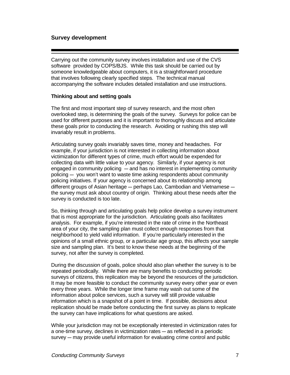#### **Survey development**

Carrying out the community survey involves installation and use of the CVS software provided by COPS/BJS. While this task should be carried out by someone knowledgeable about computers, it is a straightforward procedure that involves following clearly specified steps. The technical manual accompanying the software includes detailed installation and use instructions.

#### **Thinking about and setting goals**

The first and most important step of survey research, and the most often overlooked step, is determining the goals of the survey. Surveys for police can be used for different purposes and it is important to thoroughly discuss and articulate these goals prior to conducting the research. Avoiding or rushing this step will invariably result in problems.

Articulating survey goals invariably saves time, money and headaches. For example, if your jurisdiction is not interested in collecting information about victimization for different types of crime, much effort would be expended for collecting data with little value to your agency. Similarly, if your agency is not engaged in community policing  $-$  and has no interest in implementing community policing  $-$  you won't want to waste time asking respondents about community policing initiatives. If your agency is concerned about its relationship among different groups of Asian heritage  $-$  perhaps Lao, Cambodian and Vietnamese  $$ the survey must ask about country of origin. Thinking about these needs after the survey is conducted is too late.

So, thinking through and articulating goals help police develop a survey instrument that is most appropriate for the jurisdiction. Articulating goals also facilitates analysis. For example, if you're interested in the rate of crime in the Northeast area of your city, the sampling plan must collect enough responses from that neighborhood to yield valid information. If you're particularly interested in the opinions of a small ethnic group, or a particular age group, this affects your sample size and sampling plan. It's best to know these needs at the beginning of the survey, not after the survey is completed.

During the discussion of goals, police should also plan whether the survey is to be repeated periodically. While there are many benefits to conducting periodic surveys of citizens, this replication may be beyond the resources of the jurisdiction. It may be more feasible to conduct the community survey every other year or even every three years. While the longer time frame may wash out some of the information about police services, such a survey will still provide valuable information which is a snapshot of a point in time. If possible, decisions about replication should be made before conducting the first survey as plans to replicate the survey can have implications for what questions are asked.

While your jurisdiction may not be exceptionally interested in victimization rates for a one-time survey, declines in victimization rates – as reflected in a periodic  $s$ urvey  $-$  may provide useful information for evaluating crime control and public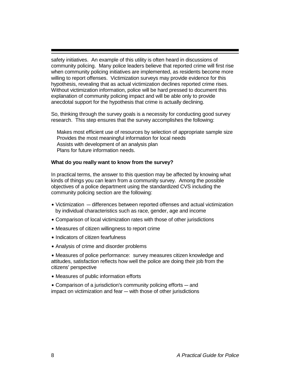safety initiatives. An example of this utility is often heard in discussions of community policing. Many police leaders believe that reported crime will first rise when community policing initiatives are implemented, as residents become more willing to report offenses. Victimization surveys may provide evidence for this hypothesis, revealing that as actual victimization declines reported crime rises. Without victimization information, police will be hard pressed to document this explanation of community policing impact and will be able only to provide anecdotal support for the hypothesis that crime is actually declining.

So, thinking through the survey goals is a necessity for conducting good survey research. This step ensures that the survey accomplishes the following:

Makes most efficient use of resources by selection of appropriate sample size Provides the most meaningful information for local needs Assists with development of an analysis plan Plans for future information needs.

#### **What do you really want to know from the survey?**

In practical terms, the answer to this question may be affected by knowing what kinds of things you can learn from a community survey. Among the possible objectives of a police department using the standardized CVS including the community policing section are the following:

- Victimization differences between reported offenses and actual victimization by individual characteristics such as race, gender, age and income
- Comparison of local victimization rates with those of other jurisdictions
- Measures of citizen willingness to report crime
- Indicators of citizen fearfulness
- Analysis of crime and disorder problems

˘ Measures of police performance: survey measures citizen knowledge and attitudes, satisfaction reflects how well the police are doing their job from the citizens' perspective

˘ Measures of public information efforts

 $\bullet$  Comparison of a jurisdiction's community policing efforts  $-$  and impact on victimization and fear – with those of other jurisdictions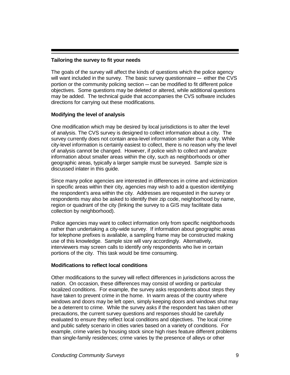#### **Tailoring the survey to fit your needs**

The goals of the survey will affect the kinds of questions which the police agency will want included in the survey. The basic survey questionnaire  $-$  either the CVS portion or the community policing section  $-$  can be modified to fit different police objectives. Some questions may be deleted or altered, while additional questions may be added. The technical guide that accompanies the CVS software includes directions for carrying out these modifications.

#### **Modifying the level of analysis**

One modification which may be desired by local jurisdictions is to alter the level of analysis. The CVS survey is designed to collect information about a city. The survey currently does not contain area-level information smaller than a city. While city-level information is certainly easiest to collect, there is no reason why the level of analysis cannot be changed. However, if police wish to collect and analyze information about smaller areas within the city, such as neighborhoods or other geographic areas, typically a larger sample must be surveyed. Sample size is discussed inlater in this guide.

Since many police agencies are interested in differences in crime and victimization in specific areas within their city, agencies may wish to add a question identifying the respondent's area within the city. Addresses are requested in the survey or respondents may also be asked to identify their zip code, neighborhood by name, region or quadrant of the city (linking the survey to a GIS may facilitate data collection by neighborhood).

Police agencies may want to collect information only from specific neighborhoods rather than undertaking a city-wide survey. If information about geographic areas for telephone prefixes is available, a sampling frame may be constructed making use of this knowledge. Sample size will vary accordingly. Alternatively, interviewers may screen calls to identify only respondents who live in certain portions of the city. This task would be time consuming.

#### **Modifications to reflect local conditions**

Other modifications to the survey will reflect differences in jurisdictions across the nation. On occasion, these differences may consist of wording or particular localized conditions. For example, the survey asks respondents about steps they have taken to prevent crime in the home. In warm areas of the country where windows and doors may be left open, simply keeping doors and windows shut may be a deterrent to crime. While the survey asks if the respondent has taken other precautions, the current survey questions and responses should be carefully evaluated to ensure they reflect local conditions and objectives. The local crime and public safety scenario in cities varies based on a variety of conditions. For example, crime varies by housing stock since high rises feature different problems than single-family residences; crime varies by the presence of alleys or other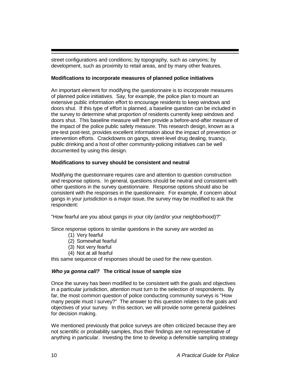street configurations and conditions; by topography, such as canyons; by development, such as proximity to retail areas, and by many other features.

#### **Modifications to incorporate measures of planned police initiatives**

An important element for modifying the questionnaire is to incorporate measures of planned police initiatives. Say, for example, the police plan to mount an extensive public information effort to encourage residents to keep windows and doors shut. If this type of effort is planned, a baseline question can be included in the survey to determine what proportion of residents currently keep windows and doors shut. This baseline measure will then provide a before-and-after measure of the impact of the police public safety measure. This research design, known as a pre-test post-test, provides excellent information about the impact of prevention or intervention efforts. Crackdowns on gangs, street-level drug dealing, truancy, public drinking and a host of other community-policing initiatives can be well documented by using this design.

#### **Modifications to survey should be consistent and neutral**

Modifying the questionnaire requires care and attention to question construction and response options. In general, questions should be neutral and consistent with other questions in the survey questionnaire. Response options should also be consistent with the responses in the questionnaire. For example, if concern about gangs in your jurisdiction is a major issue, the survey may be modified to ask the respondent:

"How fearful are you about gangs in your city (and/or your neighborhood)?"

Since response options to similar questions in the survey are worded as

- (1) Very fearful
- (2) Somewhat fearful
- (3) Not very fearful
- (4) Not at all fearful

this same sequence of responses should be used for the new question.

#### **Who ya gonna call? The critical issue of sample size**

Once the survey has been modified to be consistent with the goals and objectives in a particular jurisdiction, attention must turn to the selection of respondents. By far, the most common question of police conducting community surveys is "How many people must I survey?" The answer to this question relates to the goals and objectives of your survey. In this section, we will provide some general guidelines for decision making.

We mentioned previously that police surveys are often criticized because they are not scientific or probability samples, thus their findings are not representative of anything in particular. Investing the time to develop a defensible sampling strategy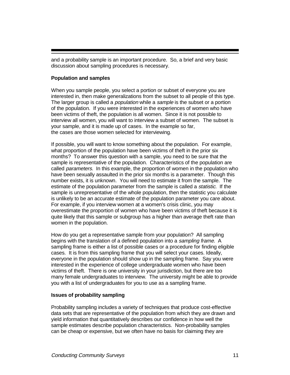and a probability sample is an important procedure. So, a brief and very basic discussion about sampling procedures is necessary.

#### **Population and samples**

When you sample people, you select a portion or subset of everyone you are interested in, then make generalizations from the subset to all people of this type. The larger group is called a *population* while a sample is the subset or a portion of the population. If you were interested in the experiences of women who have been victims of theft, the population is all women. Since it is not possible to interview all women, you will want to interview a subset of women. The subset is your sample, and it is made up of cases. In the example so far, the cases are those women selected for interviewing.

If possible, you will want to know something about the population. For example, what proportion of the population have been victims of theft in the prior six months? To answer this question with a sample, you need to be sure that the sample is representative of the population. Characteristics of the population are called parameters. In this example, the proportion of women in the population who have been sexually assaulted in the prior six months is a parameter. Though this number exists, it is unknown. You will need to estimate it from the sample. The estimate of the population parameter from the sample is called a *statistic*. If the sample is unrepresentative of the whole population, then the statistic you calculate is unlikely to be an accurate estimate of the population parameter you care about. For example, if you interview women at a women's crisis clinic, you may overestimate the proportion of women who have been victims of theft because it is quite likely that this sample or subgroup has a higher than average theft rate than women in the population.

How do you get a representative sample from your population? All sampling begins with the translation of a defined population into a sampling frame. A sampling frame is either a list of possible cases or a procedure for finding eligible cases. It is from this sampling frame that you will select your cases. Ideally, everyone in the population should show up in the sampling frame. Say you were interested in the experience of college undergraduate women who have been victims of theft. There is one university in your jurisdiction, but there are too many female undergraduates to interview. The university might be able to provide you with a list of undergraduates for you to use as a sampling frame.

#### **Issues of probability sampling**

Probability sampling includes a variety of techniques that produce cost-effective data sets that are representative of the population from which they are drawn and yield information that quantitatively describes our confidence in how well the sample estimates describe population characteristics. Non-probability samples can be cheap or expensive, but we often have no basis for claiming they are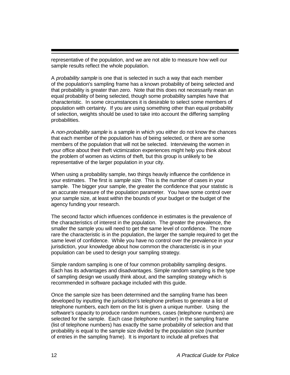representative of the population, and we are not able to measure how well our sample results reflect the whole population.

A probability sample is one that is selected in such a way that each member of the population's sampling frame has a known probability of being selected and that probability is greater than zero. Note that this does not necessarily mean an equal probability of being selected, though some probability samples have that characteristic. In some circumstances it is desirable to select some members of population with certainty. If you are using something other than equal probability of selection, weights should be used to take into account the differing sampling probabilities.

A non-probability sample is a sample in which you either do not know the chances that each member of the population has of being selected, or there are some members of the population that will not be selected. Interviewing the women in your office about their theft victimization experiences might help you think about the problem of women as victims of theft, but this group is unlikely to be representative of the larger population in your city.

When using a probability sample, two things heavily influence the confidence in your estimates. The first is *sample size*. This is the number of cases in your sample. The bigger your sample, the greater the confidence that your statistic is an accurate measure of the population parameter. You have some control over your sample size, at least within the bounds of your budget or the budget of the agency funding your research.

The second factor which influences confidence in estimates is the prevalence of the characteristics of interest in the population. The greater the prevalence, the smaller the sample you will need to get the same level of confidence. The more rare the characteristic is in the population, the larger the sample required to get the same level of confidence. While you have no control over the prevalence in your jurisdiction, your knowledge about how common the characteristic is in your population can be used to design your sampling strategy.

Simple random sampling is one of four common probability sampling designs. Each has its advantages and disadvantages. Simple random sampling is the type of sampling design we usually think about, and the sampling strategy which is recommended in software package included with this guide.

Once the sample size has been determined and the sampling frame has been developed by inputting the jurisdiction's telephone prefixes to generate a list of telephone numbers, each item on the list is given a unique number. Using the software's capacity to produce random numbers, cases (telephone numbers) are selected for the sample. Each case (telephone number) in the sampling frame (list of telephone numbers) has exactly the same probability of selection and that probability is equal to the sample size divided by the population size (number of entries in the sampling frame). It is important to include all prefixes that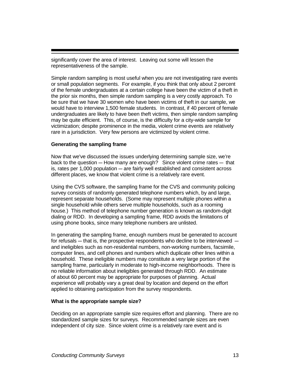significantly cover the area of interest. Leaving out some will lessen the representativeness of the sample.

Simple random sampling is most useful when you are not investigating rare events or small population segments. For example, if you think that only about 2 percent of the female undergraduates at a certain college have been the victim of a theft in the prior six months, then simple random sampling is a very costly approach. To be sure that we have 30 women who have been victims of theft in our sample, we would have to interview 1,500 female students. In contrast, if 40 percent of female undergraduates are likely to have been theft victims, then simple random sampling may be quite efficient. This, of course, is the difficulty for a city-wide sample for victimization; despite prominence in the media, violent crime events are relatively rare in a jurisdiction. Very few persons are victimized by violent crime.

#### **Generating the sampling frame**

Now that we've discussed the issues underlying determining sample size, we're back to the question  $-$  How many are enough? Since violent crime rates  $-$  that is, rates per  $1,000$  population  $-$  are fairly well established and consistent across different places, we know that violent crime is a relatively rare event.

Using the CVS software, the sampling frame for the CVS and community policing survey consists of randomly generated telephone numbers which, by and large, represent separate households. (Some may represent multiple phones within a single household while others serve multiple households, such as a rooming house.) This method of telephone number generation is known as random-digit dialing or RDD. In developing a sampling frame, RDD avoids the limitations of using phone books, since many telephone numbers are unlisted.

In generating the sampling frame, enough numbers must be generated to account for refusals  $-$  that is, the prospective respondents who decline to be interviewed  $$ and ineligibles such as non-residential numbers, non-working numbers, facsimile, computer lines, and cell phones and numbers which duplicate other lines within a household. These ineligible numbers may constitute a very large portion of the sampling frame, particularly in moderate to high-income neighborhoods. There is no reliable information about ineligibles generated through RDD. An estimate of about 60 percent may be appropriate for purposes of planning. Actual experience will probably vary a great deal by location and depend on the effort applied to obtaining participation from the survey respondents.

#### **What is the appropriate sample size?**

Deciding on an appropriate sample size requires effort and planning. There are no standardized sample sizes for surveys. Recommended sample sizes are even independent of city size. Since violent crime is a relatively rare event and is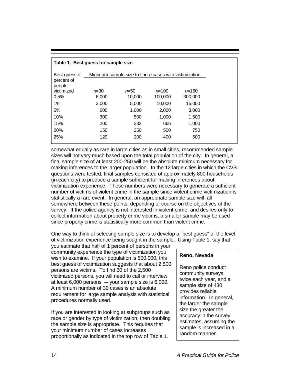| Table 1. Best guess for sample size   |                                                               |          |           |           |  |  |  |  |  |  |
|---------------------------------------|---------------------------------------------------------------|----------|-----------|-----------|--|--|--|--|--|--|
| Best quess of<br>percent of<br>people | Minimum sample size to find <i>n</i> cases with victimization |          |           |           |  |  |  |  |  |  |
| victimized                            | $n = 30$                                                      | $n = 50$ | $n = 100$ | $n = 150$ |  |  |  |  |  |  |
| 0.5%                                  | 6,000                                                         | 10,000   | 100,000   | 300,000   |  |  |  |  |  |  |
| 1%                                    | 3.000                                                         | 5,000    | 10.000    | 15,000    |  |  |  |  |  |  |
| 5%                                    | 600                                                           | 1,000    | 2,000     | 3,000     |  |  |  |  |  |  |
| 10%                                   | 300                                                           | 500      | 1,000     | 1,500     |  |  |  |  |  |  |
| 15%                                   | 200                                                           | 333      | 666       | 1,000     |  |  |  |  |  |  |
| 20%                                   | 150                                                           | 250      | 500       | 750       |  |  |  |  |  |  |
| 25%                                   | 120                                                           | 200      | 400       | 600       |  |  |  |  |  |  |

somewhat equally as rare in large cities as in small cities, recommended sample sizes will not vary much based upon the total population of the city. In general, a final sample size of at least 200-250 will be the absolute minimum necessary for making inferences to the larger population. In the 12 large cities in which the CVS questions were tested, final samples consisted of approximately 800 households (in each city) to produce a sample sufficient for making inferences about victimization experience. These numbers were necessary to generate a sufficient number of victims of violent crime in the sample since violent crime victimization is statistically a rare event. In general, an appropriate sample size will fall somewhere between these points, depending of course on the objectives of the survey. If the police agency is not interested in violent crime, and desires only to collect information about property crime victims, a smaller sample may be used since property crime is statistically more common than violent crime.

One way to think of selecting sample size is to develop a "best guess" of the level of victimization experience being sought in the sample. Using Table 1, say that

you estimate that half of 1 percent of persons in your community experience the type of victimization you wish to examine. If your population is 500,000, this best guess of victimization suggests that about 2,500 persons are victims. To find 30 of the 2,500 victimized persons, you will need to call or interview at least  $6,000$  persons  $-$  your sample size is  $6,000$ . A minimum number of 30 cases is an absolute requirement for large sample analysis with statistical procedures normally used.

If you are interested in looking at subgroups such as race or gender by type of victimization, then doubling the sample size is appropriate. This requires that your minimum number of cases increases proportionally as indicated in the top row of Table 1.

#### **Reno, Nevada**

Reno police conduct community surveys twice each year, and a sample size of 430 provides reliable information. In general, the larger the sample size the greater the accuracy in the survey estimates, assuming the sample is increased in a random manner.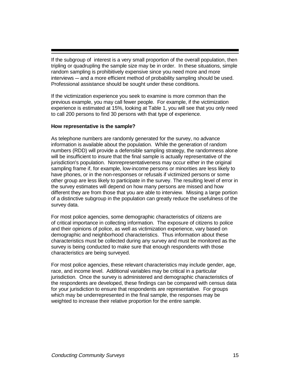If the subgroup of interest is a very small proportion of the overall population, then tripling or quadrupling the sample size may be in order. In these situations, simple random sampling is prohibitively expensive since you need more and more interviews — and a more efficient method of probability sampling should be used. Professional assistance should be sought under these conditions.

If the victimization experience you seek to examine is more common than the previous example, you may call fewer people. For example, if the victimization experience is estimated at 15%, looking at Table 1, you will see that you only need to call 200 persons to find 30 persons with that type of experience.

#### **How representative is the sample?**

As telephone numbers are randomly generated for the survey, no advance information is available about the population. While the generation of random numbers (RDD) will provide a defensible sampling strategy, the randomness alone will be insufficient to insure that the final sample is actually representative of the jurisdiction's population. Nonrepresentativeness may occur either in the original sampling frame if, for example, low-income persons or minorities are less likely to have phones, or in the non-responses or refusals if victimized persons or some other group are less likely to participate in the survey. The resulting level of error in the survey estimates will depend on how many persons are missed and how different they are from those that you are able to interview. Missing a large portion of a distinctive subgroup in the population can greatly reduce the usefulness of the survey data.

For most police agencies, some demographic characteristics of citizens are of critical importance in collecting information. The exposure of citizens to police and their opinions of police, as well as victimization experience, vary based on demographic and neighborhood characteristics. Thus information about these characteristics must be collected during any survey and must be monitored as the survey is being conducted to make sure that enough respondents with those characteristics are being surveyed.

For most police agencies, these relevant characteristics may include gender, age, race, and income level. Additional variables may be critical in a particular jurisdiction. Once the survey is administered and demographic characteristics of the respondents are developed, these findings can be compared with census data for your jurisdiction to ensure that respondents are representative. For groups which may be underrepresented in the final sample, the responses may be weighted to increase their relative proportion for the entire sample.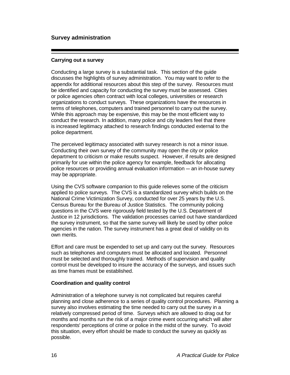#### **Survey administration**

#### **Carrying out a survey**

Conducting a large survey is a substantial task. This section of the guide discusses the highlights of survey administration. You may want to refer to the appendix for additional resources about this step of the survey. Resources must be identified and capacity for conducting the survey must be assessed. Cities or police agencies often contract with local colleges, universities or research organizations to conduct surveys. These organizations have the resources in terms of telephones, computers and trained personnel to carry out the survey. While this approach may be expensive, this may be the most efficient way to conduct the research. In addition, many police and city leaders feel that there is increased legitimacy attached to research findings conducted external to the police department.

The perceived legitimacy associated with survey research is not a minor issue. Conducting their own survey of the community may open the city or police department to criticism or make results suspect. However, if results are designed primarily for use within the police agency for example, feedback for allocating police resources or providing annual evaluation information & an in-house survey may be appropriate.

Using the CVS software companion to this guide relieves some of the criticism applied to police surveys. The CVS is a standardized survey which builds on the National Crime Victimization Survey, conducted for over 25 years by the U.S. Census Bureau for the Bureau of Justice Statistics. The community policing questions in the CVS were rigorously field tested by the U.S. Department of Justice in 12 jurisdictions. The validation processes carried out have standardized the survey instrument, so that the same survey will likely be used by other police agencies in the nation. The survey instrument has a great deal of validity on its own merits.

Effort and care must be expended to set up and carry out the survey. Resources such as telephones and computers must be allocated and located. Personnel must be selected and thoroughly trained. Methods of supervision and quality control must be developed to insure the accuracy of the surveys, and issues such as time frames must be established.

#### **Coordination and quality control**

Administration of a telephone survey is not complicated but requires careful planning and close adherence to a series of quality control procedures. Planning a survey also involves estimating the time needed to carry out the survey in a relatively compressed period of time. Surveys which are allowed to drag out for months and months run the risk of a major crime event occurring which will alter respondents' perceptions of crime or police in the midst of the survey. To avoid this situation, every effort should be made to conduct the survey as quickly as possible.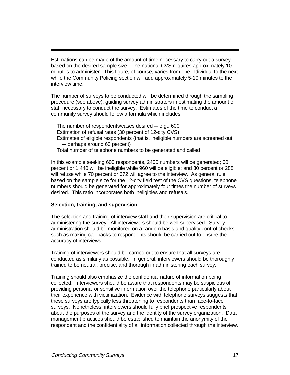Estimations can be made of the amount of time necessary to carry out a survey based on the desired sample size. The national CVS requires approximately 10 minutes to administer. This figure, of course, varies from one individual to the next while the Community Policing section will add approximately 5-10 minutes to the interview time.

The number of surveys to be conducted will be determined through the sampling procedure (see above), guiding survey administrators in estimating the amount of staff necessary to conduct the survey. Estimates of the time to conduct a community survey should follow a formula which includes:

The number of respondents/cases desired  $-$  e.g., 600 Estimation of refusal rates (30 percent of 12-city CVS) Estimates of eligible respondents (that is, ineligible numbers are screened out - perhaps around 60 percent) Total number of telephone numbers to be generated and called

In this example seeking 600 respondents, 2400 numbers will be generated; 60 percent or 1,440 will be ineligible while 960 will be eligible; and 30 percent or 288 will refuse while 70 percent or 672 will agree to the interview. As general rule, based on the sample size for the 12-city field test of the CVS questions, telephone numbers should be generated for approximately four times the number of surveys desired. This ratio incorporates both ineligibles and refusals.

#### **Selection, training, and supervision**

The selection and training of interview staff and their supervision are critical to administering the survey. All interviewers should be well-supervised. Survey administration should be monitored on a random basis and quality control checks, such as making call-backs to respondents should be carried out to ensure the accuracy of interviews.

Training of interviewers should be carried out to ensure that all surveys are conducted as similarly as possible. In general, interviewers should be thoroughly trained to be neutral, precise, and thorough in administering each survey.

Training should also emphasize the confidential nature of information being collected. Interviewers should be aware that respondents may be suspicious of providing personal or sensitive information over the telephone particularly about their experience with victimization. Evidence with telephone surveys suggests that these surveys are typically less threatening to respondents than face-to-face surveys. Nonetheless, interviewers should fully brief prospective respondents about the purposes of the survey and the identity of the survey organization. Data management practices should be established to maintain the anonymity of the respondent and the confidentiality of all information collected through the interview.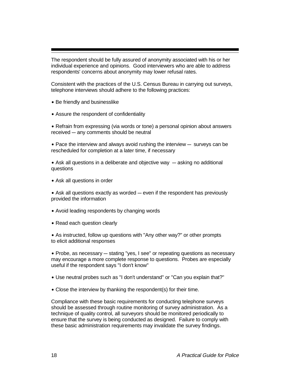The respondent should be fully assured of anonymity associated with his or her individual experience and opinions. Good interviewers who are able to address respondents' concerns about anonymity may lower refusal rates.

Consistent with the practices of the U.S. Census Bureau in carrying out surveys, telephone interviews should adhere to the following practices:

- Be friendly and businesslike
- ˘ Assure the respondent of confidentiality

• Refrain from expressing (via words or tone) a personal opinion about answers received - any comments should be neutral

 $\bullet$  Pace the interview and always avoid rushing the interview  $-$  surveys can be rescheduled for completion at a later time, if necessary

• Ask all questions in a deliberate and objective way – asking no additional questions

• Ask all questions in order

 $\bullet$  Ask all questions exactly as worded  $\sim$  even if the respondent has previously provided the information

- Avoid leading respondents by changing words
- Read each question clearly

• As instructed, follow up questions with "Any other way?" or other prompts to elicit additional responses

 $\bullet$  Probe, as necessary  $-$  stating "yes, I see" or repeating questions as necessary may encourage a more complete response to questions. Probes are especially useful if the respondent says "I don't know"

- ˘ Use neutral probes such as "I don't understand" or "Can you explain that?"
- Close the interview by thanking the respondent(s) for their time.

Compliance with these basic requirements for conducting telephone surveys should be assessed through routine monitoring of survey administration. As a technique of quality control, all surveyors should be monitored periodically to ensure that the survey is being conducted as designed. Failure to comply with these basic administration requirements may invalidate the survey findings.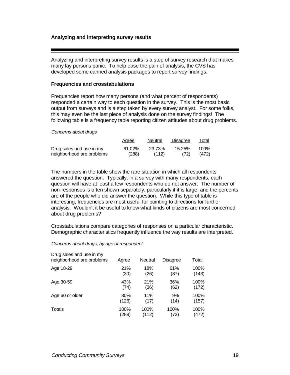#### **Analyzing and interpreting survey results**

Analyzing and interpreting survey results is a step of survey research that makes many lay persons panic. To help ease the pain of analysis, the CVS has developed some canned analysis packages to report survey findings.

#### **Frequencies and crosstabulations**

Frequencies report how many persons (and what percent of respondents) responded a certain way to each question in the survey. This is the most basic output from surveys and is a step taken by every survey analyst. For some folks, this may even be the last piece of analysis done on the survey findings! The following table is a frequency table reporting citizen attitudes about drug problems.

Concerns about drugs

|                           | <b>Agree</b> | Neutral | Disagree | Total |
|---------------------------|--------------|---------|----------|-------|
| Drug sales and use in my  | 61.02%       | 23.73%  | 15.25%   | 100%  |
| neighborhood are problems | (288)        | (112)   | (72)     | (472) |

The numbers in the table show the rare situation in which all respondents answered the question. Typically, in a survey with many respondents, each question will have at least a few respondents who do not answer. The number of non-responses is often shown separately, particularly if it is large, and the percents are of the people who did answer the question. While this type of table is interesting, frequencies are most useful for pointing to directions for further analysis. Wouldn't it be useful to know what kinds of citizens are most concerned about drug problems?

Crosstabulations compare categories of responses on a particular characteristic. Demographic characteristics frequently influence the way results are interpreted.

#### Concerns about drugs, by age of respondent

| Drug sales and use in my<br>neighborhood are problems | Agree | <b>Neutral</b> | <b>Disagree</b> | Total |
|-------------------------------------------------------|-------|----------------|-----------------|-------|
| Age 18-29                                             | 21%   | 18%            | 61%             | 100%  |
|                                                       | (30)  | (26)           | (87)            | (143) |
| Age 30-59                                             | 43%   | 21%            | 36%             | 100%  |
|                                                       | (74)  | (36)           | (62)            | (172) |
| Age 60 or older                                       | 80%   | 11%            | 9%              | 100%  |
|                                                       | (126) | (17)           | (14)            | (157) |
| Totals                                                | 100%  | 100%           | 100%            | 100%  |
|                                                       | (288) | (112)          | (72)            | (472) |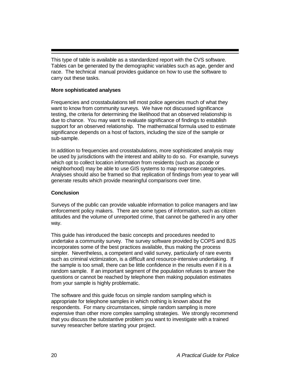This type of table is available as a standardized report with the CVS software. Tables can be generated by the demographic variables such as age, gender and race. The technical manual provides guidance on how to use the software to carry out these tasks.

#### **More sophisticated analyses**

Frequencies and crosstabulations tell most police agencies much of what they want to know from community surveys. We have not discussed significance testing, the criteria for determining the likelihood that an observed relationship is due to chance. You may want to evaluate significance of findings to establish support for an observed relationship. The mathematical formula used to estimate significance depends on a host of factors, including the size of the sample or sub-sample.

In addition to frequencies and crosstabulations, more sophisticated analysis may be used by jurisdictions with the interest and ability to do so. For example, surveys which opt to collect location information from residents (such as zipcode or neighborhood) may be able to use GIS systems to map response categories. Analyses should also be framed so that replication of findings from year to year will generate results which provide meaningful comparisons over time.

#### **Conclusion**

Surveys of the public can provide valuable information to police managers and law enforcement policy makers. There are some types of information, such as citizen attitudes and the volume of unreported crime, that cannot be gathered in any other way.

This guide has introduced the basic concepts and procedures needed to undertake a community survey. The survey software provided by COPS and BJS incorporates some of the best practices available, thus making the process simpler. Nevertheless, a competent and valid survey, particularly of rare events such as criminal victimization, is a difficult and resource-intensive undertaking. If the sample is too small, there can be little confidence in the results even if it is a random sample. If an important segment of the population refuses to answer the questions or cannot be reached by telephone then making population estimates from your sample is highly problematic.

The software and this guide focus on simple random sampling which is appropriate for telephone samples in which nothing is known about the respondents. For many circumstances, simple random sampling is more expensive than other more complex sampling strategies. We strongly recommend that you discuss the substantive problem you want to investigate with a trained survey researcher before starting your project.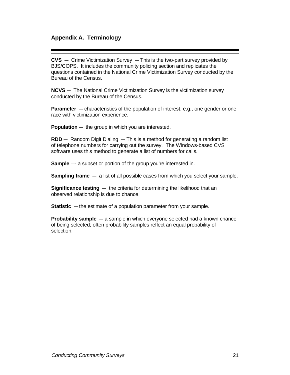#### **Appendix A. Terminology**

**CVS** - Crime Victimization Survey - This is the two-part survey provided by BJS/COPS. It includes the community policing section and replicates the questions contained in the National Crime Victimization Survey conducted by the Bureau of the Census.

**NCVS** — The National Crime Victimization Survey is the victimization survey conducted by the Bureau of the Census.

**Parameter** – characteristics of the population of interest, e.g., one gender or one race with victimization experience.

**Population** — the group in which you are interested.

**RDD** – Random Digit Dialing – This is a method for generating a random list of telephone numbers for carrying out the survey. The Windows-based CVS software uses this method to generate a list of numbers for calls.

**Sample** — a subset or portion of the group you're interested in.

**Sampling frame** – a list of all possible cases from which you select your sample.

**Significance testing**  $-$  the criteria for determining the likelihood that an observed relationship is due to chance.

**Statistic** – the estimate of a population parameter from your sample.

**Probability sample** - a sample in which everyone selected had a known chance of being selected; often probability samples reflect an equal probability of selection.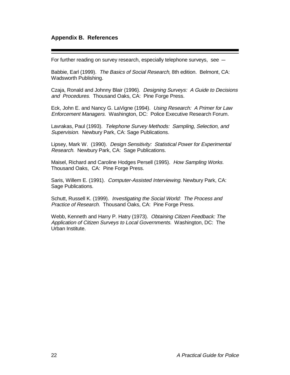#### **Appendix B. References**

For further reading on survey research, especially telephone surveys, see  $-$ 

Babbie, Earl (1999). The Basics of Social Research, 8th edition. Belmont, CA: Wadsworth Publishing.

Czaja, Ronald and Johnny Blair (1996). Designing Surveys: A Guide to Decisions and Procedures. Thousand Oaks, CA: Pine Forge Press.

Eck, John E. and Nancy G. LaVigne (1994). Using Research: A Primer for Law Enforcement Managers. Washington, DC: Police Executive Research Forum.

Lavrakas, Paul (1993). Telephone Survey Methods: Sampling, Selection, and Supervision. Newbury Park, CA: Sage Publications.

Lipsey, Mark W. (1990). Design Sensitivity: Statistical Power for Experimental Research. Newbury Park, CA: Sage Publications.

Maisel, Richard and Caroline Hodges Persell (1995). How Sampling Works. Thousand Oaks, CA: Pine Forge Press.

Saris, Willem E. (1991). Computer-Assisted Interviewing. Newbury Park, CA: Sage Publications.

Schutt, Russell K. (1999). Investigating the Social World: The Process and Practice of Research. Thousand Oaks, CA: Pine Forge Press.

Webb, Kenneth and Harry P. Hatry (1973). Obtaining Citizen Feedback: The Application of Citizen Surveys to Local Governments. Washington, DC: The Urban Institute.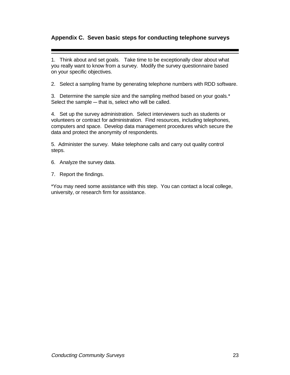#### **Appendix C. Seven basic steps for conducting telephone surveys**

1. Think about and set goals. Take time to be exceptionally clear about what you really want to know from a survey. Modify the survey questionnaire based on your specific objectives.

2. Select a sampling frame by generating telephone numbers with RDD software.

3. Determine the sample size and the sampling method based on your goals.\* Select the sample  $-$  that is, select who will be called.

4. Set up the survey administration. Select interviewers such as students or volunteers or contract for administration. Find resources, including telephones, computers and space. Develop data management procedures which secure the data and protect the anonymity of respondents.

5. Administer the survey. Make telephone calls and carry out quality control steps.

6. Analyze the survey data.

7. Report the findings.

\*You may need some assistance with this step. You can contact a local college, university, or research firm for assistance.